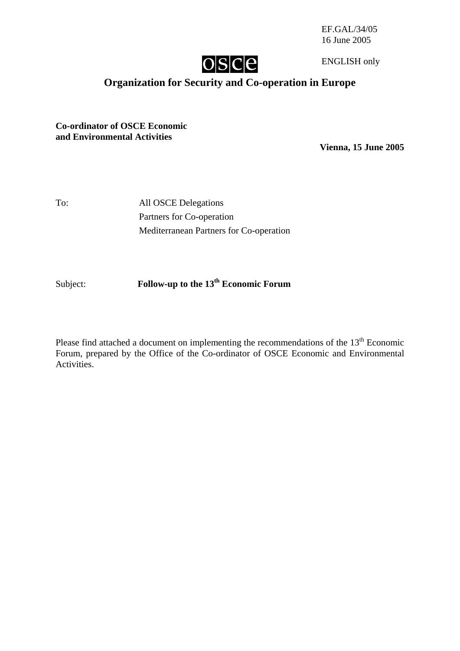EF.GAL/34/05 16 June 2005



ENGLISH only

# **Organization for Security and Co-operation in Europe**

**Co-ordinator of OSCE Economic and Environmental Activities** 

**Vienna, 15 June 2005** 

To: All OSCE Delegations Partners for Co-operation Mediterranean Partners for Co-operation

Subject: **Follow-up to the 13th Economic Forum** 

Please find attached a document on implementing the recommendations of the  $13<sup>th</sup>$  Economic Forum, prepared by the Office of the Co-ordinator of OSCE Economic and Environmental Activities.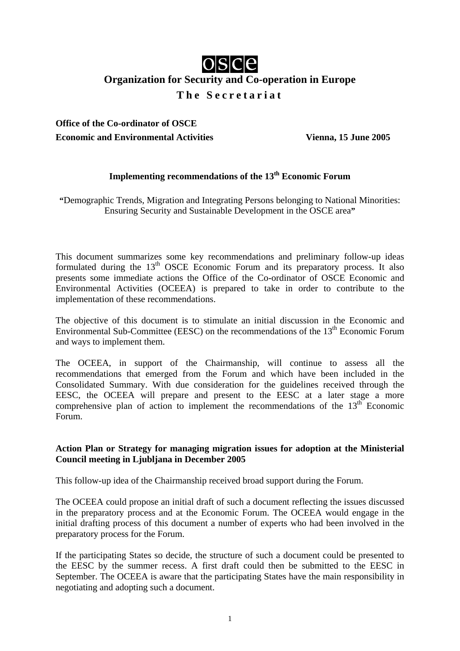# osce

# **Organization for Security and Co-operation in Europe**

**The Secretariat** 

**Office of the Co-ordinator of OSCE Economic and Environmental Activities Vienna, 15 June 2005**

## **Implementing recommendations of the 13<sup>th</sup> Economic Forum**

**"**Demographic Trends, Migration and Integrating Persons belonging to National Minorities: Ensuring Security and Sustainable Development in the OSCE area**"** 

This document summarizes some key recommendations and preliminary follow-up ideas formulated during the 13<sup>th</sup> OSCE Economic Forum and its preparatory process. It also presents some immediate actions the Office of the Co-ordinator of OSCE Economic and Environmental Activities (OCEEA) is prepared to take in order to contribute to the implementation of these recommendations.

The objective of this document is to stimulate an initial discussion in the Economic and Environmental Sub-Committee (EESC) on the recommendations of the  $13<sup>th</sup>$  Economic Forum and ways to implement them.

The OCEEA, in support of the Chairmanship, will continue to assess all the recommendations that emerged from the Forum and which have been included in the Consolidated Summary. With due consideration for the guidelines received through the EESC, the OCEEA will prepare and present to the EESC at a later stage a more comprehensive plan of action to implement the recommendations of the  $13<sup>th</sup>$  Economic Forum.

#### **Action Plan or Strategy for managing migration issues for adoption at the Ministerial Council meeting in Ljubljana in December 2005**

This follow-up idea of the Chairmanship received broad support during the Forum.

The OCEEA could propose an initial draft of such a document reflecting the issues discussed in the preparatory process and at the Economic Forum. The OCEEA would engage in the initial drafting process of this document a number of experts who had been involved in the preparatory process for the Forum.

If the participating States so decide, the structure of such a document could be presented to the EESC by the summer recess. A first draft could then be submitted to the EESC in September. The OCEEA is aware that the participating States have the main responsibility in negotiating and adopting such a document.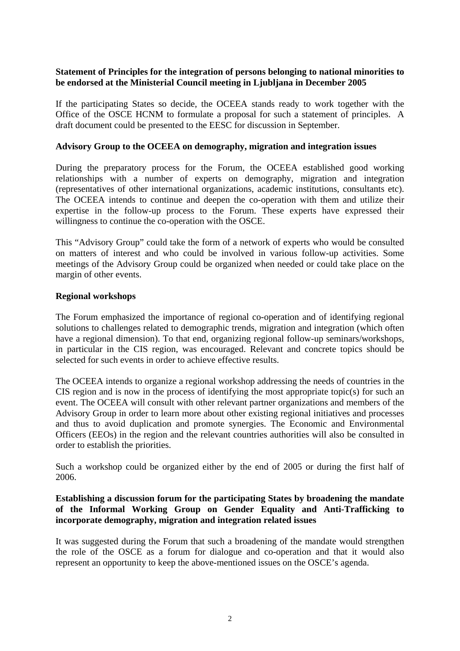#### **Statement of Principles for the integration of persons belonging to national minorities to be endorsed at the Ministerial Council meeting in Ljubljana in December 2005**

If the participating States so decide, the OCEEA stands ready to work together with the Office of the OSCE HCNM to formulate a proposal for such a statement of principles. A draft document could be presented to the EESC for discussion in September.

#### **Advisory Group to the OCEEA on demography, migration and integration issues**

During the preparatory process for the Forum, the OCEEA established good working relationships with a number of experts on demography, migration and integration (representatives of other international organizations, academic institutions, consultants etc). The OCEEA intends to continue and deepen the co-operation with them and utilize their expertise in the follow-up process to the Forum. These experts have expressed their willingness to continue the co-operation with the OSCE.

This "Advisory Group" could take the form of a network of experts who would be consulted on matters of interest and who could be involved in various follow-up activities. Some meetings of the Advisory Group could be organized when needed or could take place on the margin of other events.

#### **Regional workshops**

The Forum emphasized the importance of regional co-operation and of identifying regional solutions to challenges related to demographic trends, migration and integration (which often have a regional dimension). To that end, organizing regional follow-up seminars/workshops, in particular in the CIS region, was encouraged. Relevant and concrete topics should be selected for such events in order to achieve effective results.

The OCEEA intends to organize a regional workshop addressing the needs of countries in the CIS region and is now in the process of identifying the most appropriate topic(s) for such an event. The OCEEA will consult with other relevant partner organizations and members of the Advisory Group in order to learn more about other existing regional initiatives and processes and thus to avoid duplication and promote synergies. The Economic and Environmental Officers (EEOs) in the region and the relevant countries authorities will also be consulted in order to establish the priorities.

Such a workshop could be organized either by the end of 2005 or during the first half of 2006.

#### **Establishing a discussion forum for the participating States by broadening the mandate of the Informal Working Group on Gender Equality and Anti-Trafficking to incorporate demography, migration and integration related issues**

It was suggested during the Forum that such a broadening of the mandate would strengthen the role of the OSCE as a forum for dialogue and co-operation and that it would also represent an opportunity to keep the above-mentioned issues on the OSCE's agenda.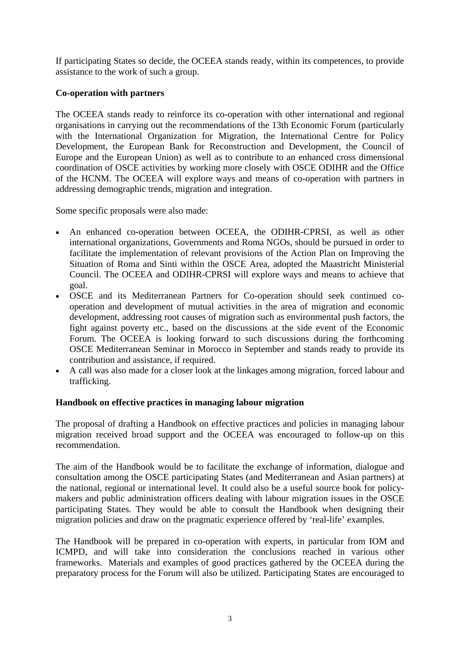If participating States so decide, the OCEEA stands ready, within its competences, to provide assistance to the work of such a group.

#### **Co-operation with partners**

The OCEEA stands ready to reinforce its co-operation with other international and regional organisations in carrying out the recommendations of the 13th Economic Forum (particularly with the International Organization for Migration, the International Centre for Policy Development, the European Bank for Reconstruction and Development, the Council of Europe and the European Union) as well as to contribute to an enhanced cross dimensional coordination of OSCE activities by working more closely with OSCE ODIHR and the Office of the HCNM. The OCEEA will explore ways and means of co-operation with partners in addressing demographic trends, migration and integration.

Some specific proposals were also made:

- An enhanced co-operation between OCEEA, the ODIHR-CPRSI, as well as other international organizations, Governments and Roma NGOs, should be pursued in order to facilitate the implementation of relevant provisions of the Action Plan on Improving the Situation of Roma and Sinti within the OSCE Area, adopted the Maastricht Ministerial Council. The OCEEA and ODIHR-CPRSI will explore ways and means to achieve that goal.
- OSCE and its Mediterranean Partners for Co-operation should seek continued cooperation and development of mutual activities in the area of migration and economic development, addressing root causes of migration such as environmental push factors, the fight against poverty etc., based on the discussions at the side event of the Economic Forum. The OCEEA is looking forward to such discussions during the forthcoming OSCE Mediterranean Seminar in Morocco in September and stands ready to provide its contribution and assistance, if required.
- A call was also made for a closer look at the linkages among migration, forced labour and trafficking.

### **Handbook on effective practices in managing labour migration**

The proposal of drafting a Handbook on effective practices and policies in managing labour migration received broad support and the OCEEA was encouraged to follow-up on this recommendation.

The aim of the Handbook would be to facilitate the exchange of information, dialogue and consultation among the OSCE participating States (and Mediterranean and Asian partners) at the national, regional or international level. It could also be a useful source book for policymakers and public administration officers dealing with labour migration issues in the OSCE participating States. They would be able to consult the Handbook when designing their migration policies and draw on the pragmatic experience offered by 'real-life' examples.

The Handbook will be prepared in co-operation with experts, in particular from IOM and ICMPD, and will take into consideration the conclusions reached in various other frameworks. Materials and examples of good practices gathered by the OCEEA during the preparatory process for the Forum will also be utilized. Participating States are encouraged to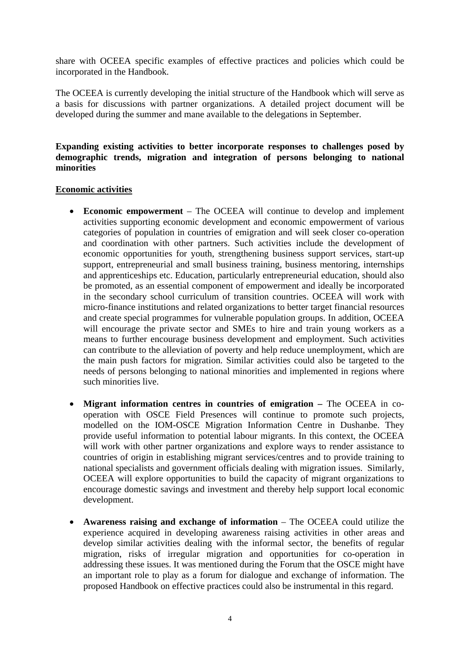share with OCEEA specific examples of effective practices and policies which could be incorporated in the Handbook.

The OCEEA is currently developing the initial structure of the Handbook which will serve as a basis for discussions with partner organizations. A detailed project document will be developed during the summer and mane available to the delegations in September.

#### **Expanding existing activities to better incorporate responses to challenges posed by demographic trends, migration and integration of persons belonging to national minorities**

#### **Economic activities**

- **Economic empowerment** The OCEEA will continue to develop and implement activities supporting economic development and economic empowerment of various categories of population in countries of emigration and will seek closer co-operation and coordination with other partners. Such activities include the development of economic opportunities for youth, strengthening business support services, start-up support, entrepreneurial and small business training, business mentoring, internships and apprenticeships etc. Education, particularly entrepreneurial education, should also be promoted, as an essential component of empowerment and ideally be incorporated in the secondary school curriculum of transition countries. OCEEA will work with micro-finance institutions and related organizations to better target financial resources and create special programmes for vulnerable population groups. In addition, OCEEA will encourage the private sector and SMEs to hire and train young workers as a means to further encourage business development and employment. Such activities can contribute to the alleviation of poverty and help reduce unemployment, which are the main push factors for migration. Similar activities could also be targeted to the needs of persons belonging to national minorities and implemented in regions where such minorities live.
- **Migrant information centres in countries of emigration** The OCEEA in cooperation with OSCE Field Presences will continue to promote such projects, modelled on the IOM-OSCE Migration Information Centre in Dushanbe. They provide useful information to potential labour migrants. In this context, the OCEEA will work with other partner organizations and explore ways to render assistance to countries of origin in establishing migrant services/centres and to provide training to national specialists and government officials dealing with migration issues. Similarly, OCEEA will explore opportunities to build the capacity of migrant organizations to encourage domestic savings and investment and thereby help support local economic development.
- **Awareness raising and exchange of information** The OCEEA could utilize the experience acquired in developing awareness raising activities in other areas and develop similar activities dealing with the informal sector, the benefits of regular migration, risks of irregular migration and opportunities for co-operation in addressing these issues. It was mentioned during the Forum that the OSCE might have an important role to play as a forum for dialogue and exchange of information. The proposed Handbook on effective practices could also be instrumental in this regard.